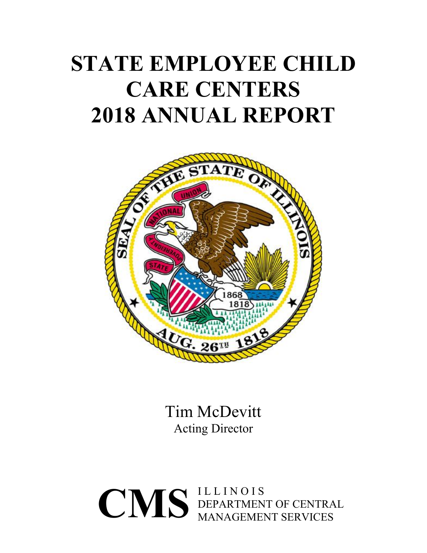# **STATE EMPLOYEE CHILD CARE CENTERS 2018 ANNUAL REPORT**



Tim McDevitt Acting Director

 $\text{CMS} \xrightarrow{\text{ILLINOIS}} \text{DEPENDEN}$ DEPARTMENT OF CENTRAL MANAGEMENT SERVICES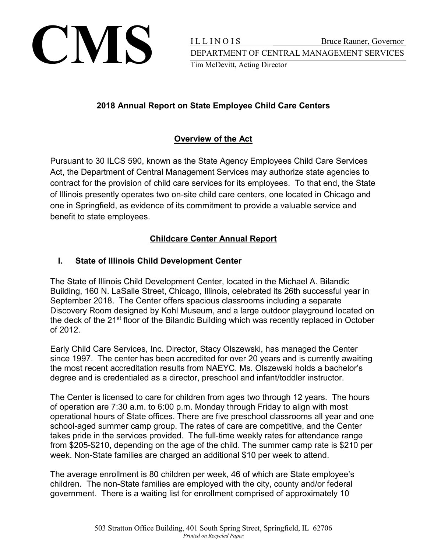

# **2018 Annual Report on State Employee Child Care Centers**

## **Overview of the Act**

Pursuant to 30 ILCS 590, known as the State Agency Employees Child Care Services Act, the Department of Central Management Services may authorize state agencies to contract for the provision of child care services for its employees. To that end, the State of Illinois presently operates two on-site child care centers, one located in Chicago and one in Springfield, as evidence of its commitment to provide a valuable service and benefit to state employees.

# **Childcare Center Annual Report**

## **I. State of Illinois Child Development Center**

The State of Illinois Child Development Center, located in the Michael A. Bilandic Building, 160 N. LaSalle Street, Chicago, Illinois, celebrated its 26th successful year in September 2018. The Center offers spacious classrooms including a separate Discovery Room designed by Kohl Museum, and a large outdoor playground located on the deck of the 21<sup>st</sup> floor of the Bilandic Building which was recently replaced in October of 2012.

Early Child Care Services, Inc. Director, Stacy Olszewski, has managed the Center since 1997. The center has been accredited for over 20 years and is currently awaiting the most recent accreditation results from NAEYC. Ms. Olszewski holds a bachelor's degree and is credentialed as a director, preschool and infant/toddler instructor.

The Center is licensed to care for children from ages two through 12 years. The hours of operation are 7:30 a.m. to 6:00 p.m. Monday through Friday to align with most operational hours of State offices. There are five preschool classrooms all year and one school-aged summer camp group. The rates of care are competitive, and the Center takes pride in the services provided. The full-time weekly rates for attendance range from \$205-\$210, depending on the age of the child. The summer camp rate is \$210 per week. Non-State families are charged an additional \$10 per week to attend.

The average enrollment is 80 children per week, 46 of which are State employee's children. The non-State families are employed with the city, county and/or federal government. There is a waiting list for enrollment comprised of approximately 10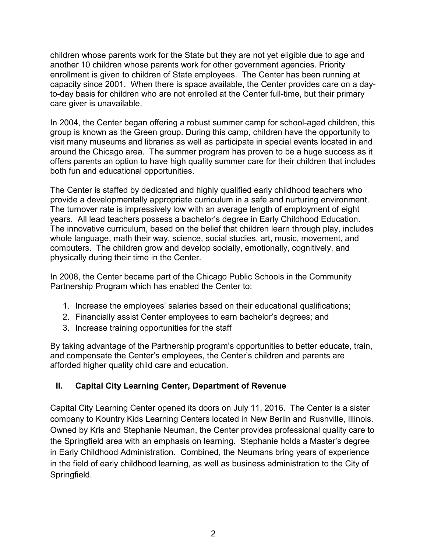children whose parents work for the State but they are not yet eligible due to age and another 10 children whose parents work for other government agencies. Priority enrollment is given to children of State employees. The Center has been running at capacity since 2001. When there is space available, the Center provides care on a dayto-day basis for children who are not enrolled at the Center full-time, but their primary care giver is unavailable.

In 2004, the Center began offering a robust summer camp for school-aged children, this group is known as the Green group. During this camp, children have the opportunity to visit many museums and libraries as well as participate in special events located in and around the Chicago area. The summer program has proven to be a huge success as it offers parents an option to have high quality summer care for their children that includes both fun and educational opportunities.

The Center is staffed by dedicated and highly qualified early childhood teachers who provide a developmentally appropriate curriculum in a safe and nurturing environment. The turnover rate is impressively low with an average length of employment of eight years. All lead teachers possess a bachelor's degree in Early Childhood Education. The innovative curriculum, based on the belief that children learn through play, includes whole language, math their way, science, social studies, art, music, movement, and computers. The children grow and develop socially, emotionally, cognitively, and physically during their time in the Center.

In 2008, the Center became part of the Chicago Public Schools in the Community Partnership Program which has enabled the Center to:

- 1. Increase the employees' salaries based on their educational qualifications;
- 2. Financially assist Center employees to earn bachelor's degrees; and
- 3. Increase training opportunities for the staff

By taking advantage of the Partnership program's opportunities to better educate, train, and compensate the Center's employees, the Center's children and parents are afforded higher quality child care and education.

#### **II. Capital City Learning Center, Department of Revenue**

Capital City Learning Center opened its doors on July 11, 2016. The Center is a sister company to Kountry Kids Learning Centers located in New Berlin and Rushville, Illinois. Owned by Kris and Stephanie Neuman, the Center provides professional quality care to the Springfield area with an emphasis on learning. Stephanie holds a Master's degree in Early Childhood Administration. Combined, the Neumans bring years of experience in the field of early childhood learning, as well as business administration to the City of Springfield.